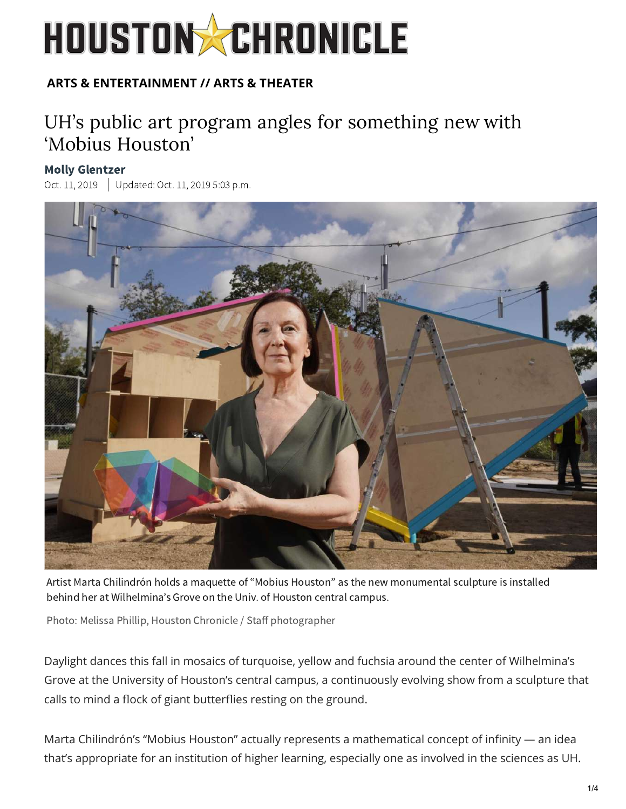# **HOUSTON & CHRONICLE**

### **ARTS & ENTERTAINMENT // ARTS & THEATER**

## UH's public art program angles for something new with ['Mobius H](https://www.houstonchronicle.com/author/molly-glentzer/)ouston'

#### Molly Glentzer

Oct. 11, 2019 Updated: Oct. 11, 2019 5:03 p.m.



Artist Marta Chilindrón holds a maquette of "Mobius Houston" as the new monumental sculpture is installed behind her at Wilhelmina's Grove on the Univ. of Houston central campus.

Photo: Melissa Phillip, Houston Chronicle / Staff photographer

Daylight dances this fall in mosaics of turquoise, yellow and fuchsia around the center of Wilhelmina's Grove at the University of Houston's central campus, a continuously evolving show from a sculpture that calls to mind a flock of giant butterflies resting on the ground.

Marta Chilindrón's "Mobius Houston" actually represents a mathematic[al c](https://privacy.us.criteo.com/adcenter?cppv=3&cpp=mqzYwC2uYAJyrtdEauPzIUFJgmxrVIifumSS7w9YIfR2Vt7pKtnk7QN9Fegd_FRIPomxkpFMmoMaY4bVl4haakkM4bD8UzXcj_OxhrN0QeL8hRnAEzakHlGxA5Fg69uT_EHhCbW50jHWZRL8i4HXnj8qnasp-yM2oQNMjp3psxSf_vrb)oncept of infinity — an idea that's appropriate for an inst[itution of highe](https://cat.va.us.criteo.com/delivery/ck.php?cppv=3&cpp=vTuOOuKwfJgJ198k8JGSLJrNkqXp8IoWJ4A5aOMgCCdWq23xo327HUmiAe02hu7g68vy8IgPHmE9jdpkHeCfboPIDisa7LjfG3q6laNHeinthDzAJp8krPqSoOzaESFm3hyPARcpLscnlF8ivL-81nPG_CFV1ZSbRJThNhNpcLuxjZLrApbB-Hc4LKEvH9HzunD8Qkq3Su2NM9OejiZbErkGgpP2U4dpxp7oG4R930u86W_FyiNuxRU6NS0bw5aJEW46u6R-obXlaoRiOOvzKT4FaN4MIXIvylvzGC9lxN26i3_p7tVFUjwrZU19cLWVm359UfsrvlTU7OrOYL90U-w-hEIdtIGnRjfQ4HD0X74dis6GtvdDgem0UKecGDYhaaMUygAhgZG2L9C9xu8vuaYmBi4TeCdbUcNt8H4bKqOrBLuM&maxdest=https%3A%2F%2Fwww.artsy.net%2Fauctions%3Futm_medium%3Dp-display%26utm_source%3Dcriteo%26utm_campaign%3Dauctions-retargeting-static)[r learni](https://cat.va.us.criteo.com/delivery/ck.php?cppv=3&cpp=r1H9UOKwfJgJ198k8JGSLJrNkqXp8IoWJ4A5aOMgCCdWq23xo327HUmiAe02hu7g68vy8IgPHmE9jdpkHeCfboPIDisa7LjfG3q6laNHeinthDzAJp8krPqSoOzaESFm3hyPARcpLscnlF8ivL-81nPG_CEM3gFZ8F8N3ErsbWBssSGhxRZmK8RpY-zsRkDZQA4r28SpMbCMbBeG-cMdFOBeNk-VDy2kpOEGMPGr6tpWsH_cdihgUi4VB8MPfLmlEGXkD6_RIHD6KIp6hjj_ACDAPjngrazeZS9PE4PZ0H2jaZnbw75KPUipQZmZiopTkbdtIhEfjOXl3p5NXMERmUdLqQ1naEpnkEeI_VINohq3hJ2hqF0gtpEtIMTk7CPkREYElIj5-GwsxU6WhVGLuIue9jRUT1uuC_7lKe_ryVgCv_WbyKoNQpjBrDBvwg8pTaqhDoM2fQrnotGVILVZT9KDVJs&maxdest=https%3A%2F%2Fwww.artsy.net%2Fartwork%2Fwill-ryman-60th-street-rose-maquette-black%3Futm_medium%3Dp-display%26utm_source%3Dcriteo%26utm_campaign%3Dauctions-retargeting-static)[ng, espe](https://cat.va.us.criteo.com/delivery/ck.php?cppv=3&cpp=fKJluOKwfJgJ198k8JGSLJrNkqXp8IoWJ4A5aOMgCCdWq23xo327HUmiAe02hu7g68vy8IgPHmE9jdpkHeCfboPIDisa7LjfG3q6laNHeinthDzAJp8krPqSoOzaESFm3hyPARcpLscnlF8ivL-81nPG_CHpH1oQwaVKvuEutoE7zj4A0TrbdbRyjePCeWNxvdzcGzhdKII9s05qqFBQfQaV7_w5KMrS-3H5CAdZzw64XmISXyK7pGezyBphQJr1LjPg0-zWHuup551IlgDAJi8RTj5_B301rU27dW8StmDh3yNzHo89XyJY2rYGoTwRjlvOn37Su-4yyJh6ywhowCy2OQs-Jjy3Qoe_yfYaNBqS2bxcVnmlMfchkFNDcCW9rLU8BSRvDeaOGlkocQUkrmUej2Tjq1xtcFfjaTRLc0cZZQR46ywJeauHxhIAFy_3aA7yvRxdgcForJWlhAR8a9hioqk&maxdest=https%3A%2F%2Fwww.artsy.net%2Fartwork%2Fyoshitomo-nara-little-wanderer-9%3Futm_medium%3Dp-display%26utm_source%3Dcriteo%26utm_campaign%3Dauctions-retargeting-static)[cially o](https://cat.va.us.criteo.com/delivery/ck.php?cppv=3&cpp=TzQmmOKwfJgJ198k8JGSLJrNkqXp8IoWJ4A5aOMgCCdWq23xo327HUmiAe02hu7g68vy8IgPHmE9jdpkHeCfboPIDisa7LjfG3q6laNHeinthDzAJp8krPqSoOzaESFm3hyPARcpLscnlF8ivL-81nPG_CHcimPC4SZxcCgL7EOtf6j0n_FqaEtcjBtXc3vb9mC-7I882gm206UYHDfIFZTyfi2Qplrgyh80f5AMimdt3QUX_ymgcJHL4hyS3n44tZgk4s3ga-7IWYmd5SFlp7ZHfWrqLLcj_o-dUfNOA03IM1sjHlY8VnEOX8wm7l6g-GIHVFxZ4b9sO0Ac9JYjCtFDo6-jFvouaUWY9U4iANZQRtV05OAB4frPwOsieZnEH5OuVWW7AuHQVlk_vcOp-P4vA2EPypg3xf7Whfyi-NhY76faIQQOen5AFfzJtBDYtA3xU2ocvOp6Sr4CsBDwsvi_-Ks&maxdest=https%3A%2F%2Fwww.artsy.net%2Fartwork%2Fstuart-arends-white-box-painted-white%3Futm_medium%3Dp-display%26utm_source%3Dcriteo%26utm_campaign%3Dauctions-retargeting-static)[ne as in](https://cat.va.us.criteo.com/delivery/ck.php?cppv=3&cpp=RFEwBeKwfJgJ198k8JGSLJrNkqXp8IoWJ4A5aOMgCCdWq23xo327HUmiAe02hu7g68vy8IgPHmE9jdpkHeCfboPIDisa7LjfG3q6laNHeinthDzAJp8krPqSoOzaESFm3hyPARcpLscnlF8ivL-81nPG_CEM3gFZ8F8N3ErsbWBssSGhtDwoq210yQsinhI7qi-nzaJspvc-oRIQKzV-GxKOXRUAHz-xx27yWGgE9LhAlbY3TzySqIANyytodKnCl787BgXKDp8aoyXUOBQktA_SSpQxdsyks6HCDoFThs6kNr4_w3LmbvpQBT5JWuMxwjPG801Qt_smltzfBzvKBYY1USC8t1o60a0j_HzTCSttEjWaIx6Hg-b_diq2ZluIXoPo028XZXUJCXj_ierhiPzbVcvWyEqkN4NgfZrUxDv9OKx2mO25F_d3U0_wrI2BnAO60DRtnsIX-NJ8GuL7w89-lCw&maxdest=https%3A%2F%2Fwww.artsy.net%2Fartwork%2Flaylah-ali-untitled-large-superman%3Futm_medium%3Dp-display%26utm_source%3Dcriteo%26utm_campaign%3Dauctions-retargeting-static)volved in the sciences as UH.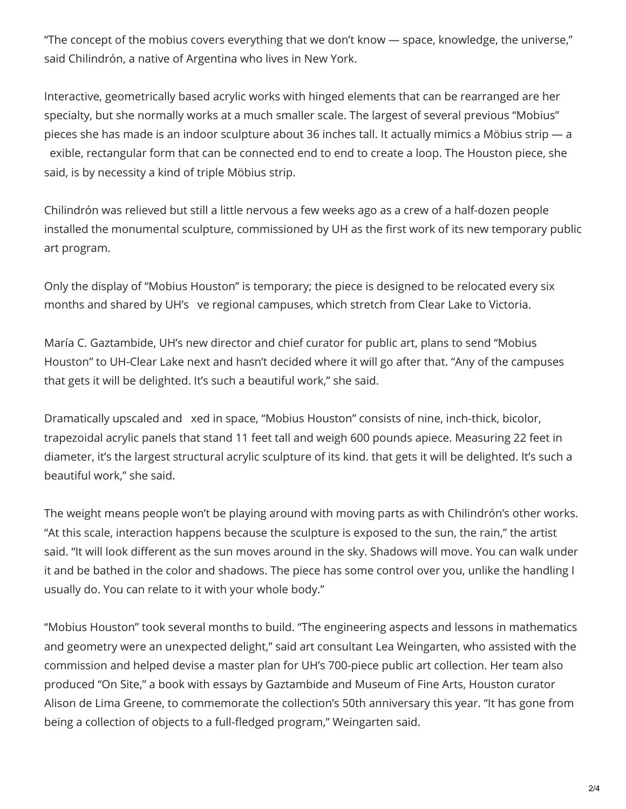"The concept of the mobius covers ev[erything that we don't know](https://www.houstonchronicle.com/) — space, knowledge, the universe," said Chilindrón, a native of Argentina who lives in New York.

Interactive, geometrically based acrylic works with hinged elements that can be rearranged are her specialty, but she normally works at a much smaller scale. The largest of several previous "Mobius" pieces she has made is an indoor sculpture about 36 inches tall. It actually mimics a Möbius strip — a exible, rectangular form that can be connected end to end to create a loop. The Houston piece, she said, is by necessity a kind of triple Möbius strip.

Chilindrón was relieved but still a little nervous a few weeks ago as [a crew of a half-dozen p](https://hearst.blueconic.net/s/lqi?profileid=698fa69d-65ee-4ac4-b14f-d9e037be2bc0)eople installed the monumental sculpture, commissioned by UH as the first work of its new temporary public art program.

Only the display of "Mobius Houston" is temporary; the piece is designed to be relocated every six months and shared by UH's ve regional campuses, which stretch from Clear Lake to Victoria.

María C. Gaztambide, UH's new director and chief curator for public art, plans to send "Mobius Houston" to UH-Clear Lake next and hasn't decided where it will go after that. "Any of the campuses [that g](https://www.houstonchronicle.com/)et[s it will](https://www.houstonchronicle.com/sports/) b[e delighted. It's such](https://www.houstonchronicle.com/sports/texas-sports-nation/) a [beautifu](https://www.houstonchronicle.com/business/)l [work,"](https://www.houstonchronicle.com/local/) s[he said.](https://www.houstonchronicle.com/local/weather/) 

Dramatically upscaled and xed in space, "Mobius Houston" consists of nine, inch-thick, bicolor, trapezoidal acrylic panels that stand 11 feet tall and weigh 600 pounds apiece. Measuring 22 feet in diameter, it's the largest structural acrylic sculpture of its kind. that gets it will be delighted. It's such a beautiful work," she said.

The weight means people won't be playing around with moving parts as with Chilindrón's other works. "At this scale, interaction happens because the sculpture is exposed to the sun, the rain," the artist said. "It will look different as the sun moves around in the sky. Shadows will move. You can walk under it and be bathed in the col[or and shadows. T](http://publicartuhs.org/)he piece has some control over you, unlike the handling I usually do. You can relate to it with your whole body."

"Mobius Houston" took several months to build. "The engineering aspects and lessons in mathematics and geometry were an unexpected delight," said art consultant Lea Weingarten, who assisted with the commission and helped devise a master plan for UH's 700-piece public art collection. Her team also produced "On Site," a book with essays by Gaztambide and Museum of Fine Arts, Houston curator Alison de Lim[a Greene, to comm](http://publicartuhs.org/)emorate the collection's 50th anniversary this year. "It has gone from being a collection of objects to a full-fledged program," Weingarten said.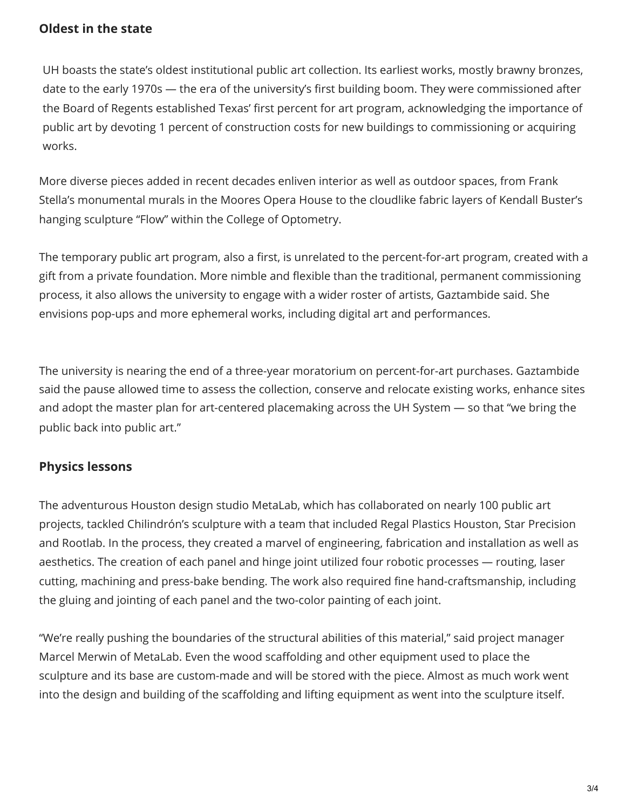#### **Oldest in the state**

UH boasts the state's o[ldest institutional public ar](https://giving.uh.edu/publicarts/)t collection. Its earliest works, mostly brawny bronzes, date to the early 1970s — the era of the university's first building boom. They were commissioned after the Board of Regents established Texas' first percent for art program, acknowledging the importance of public art by devoting 1 percent of construction costs for new buildings to commissioning or acquiring works.

More diverse pieces added in recent decades enliven interior as well as outdoor spaces, from Frank Stella's monumental murals in the Moores Opera House to the cloudlike fabric layers of Kendall Buster's hanging sculpture "Flow" within the College of Optometry.

The temporary public art program, also a first, is unrelated to the percent-for-art program, created with a gift from a private foundation. More nimble and flexible than the traditional, permanent commissioning process, it also allows the university to engage with a wider roster of artists, Gaztambide said. She envisions pop-ups and more ephemeral works, including digital art and performances.

The university is nearing the end of a three-year moratorium on percent-for-art purchases. Gaztambide [said th](https://www.houstonchronicle.com/)e [pause a](https://www.houstonchronicle.com/sports/)ll[owed time to assess](https://www.houstonchronicle.com/sports/texas-sports-nation/) t[he collect](https://www.houstonchronicle.com/business/)io[n, con](https://www.houstonchronicle.com/local/)s[erve and](https://www.houstonchronicle.com/local/weather/) re[loca](https://www.houstonchronicle.com/entertainment/)te [existing](https://www.houstonchronicle.com/elections/) [works, enhance](https://www.houstonchronicle.com/lifestyle/renew-houston/) sites and adopt the master plan for art-centered placemaking across the UH System — so that "we bring the public back into public art."

#### **Physics lessons**

The adventurous Houston design studio MetaLab, which has collaborated on nearly 100 public art projects, tackled Chilindrón's sculpture with a team that included Regal Plastics Houston, Star Precision and Rootlab. In the process, they created a marvel of engineering, fabrication and installation as well as aesthetics. The creation of each panel and hinge joint utilized four robotic processes — routing, laser cutting, machining and press-bake bending. The work also required fine hand-craftsmanship, including the gluing and jointing of each panel and the two-color painting of each joint.

"We're really pushing the boundaries of the structural abilities of this material," said project manager Marcel Merwin of MetaLab. Even the wood scaffolding and other equipment used to place the sculpture and its base are custom-made and will be stored with the piece. Almost as much work went into the design and building of the scaffoldi[ng and lifting equipme](https://www.houstonchronicle.com/entertainment/arts-theater/article/University-of-Houston-puts-art-in-its-place-on-4487118.php)nt as went into the sculpture itself.